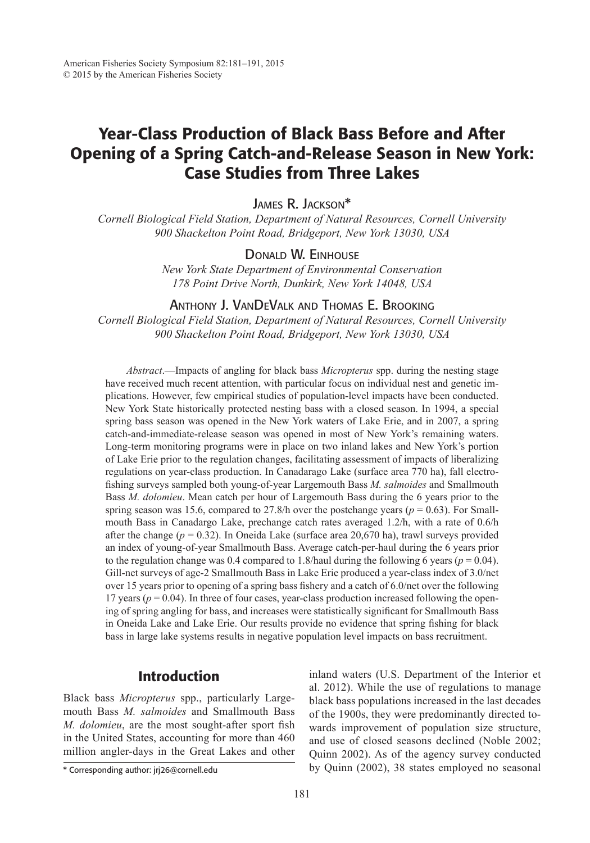# Year-Class Production of Black Bass Before and After Opening of a Spring Catch-and-Release Season in New York: Case Studies from Three Lakes

James R. Jackson\*

*Cornell Biological Field Station, Department of Natural Resources, Cornell University 900 Shackelton Point Road, Bridgeport, New York 13030, USA*

# Donald W. Einhouse

*New York State Department of Environmental Conservation 178 Point Drive North, Dunkirk, New York 14048, USA*

# Anthony J. VanDeValk and Thomas E. Brooking

*Cornell Biological Field Station, Department of Natural Resources, Cornell University 900 Shackelton Point Road, Bridgeport, New York 13030, USA*

*Abstract*.—Impacts of angling for black bass *Micropterus* spp. during the nesting stage have received much recent attention, with particular focus on individual nest and genetic implications. However, few empirical studies of population-level impacts have been conducted. New York State historically protected nesting bass with a closed season. In 1994, a special spring bass season was opened in the New York waters of Lake Erie, and in 2007, a spring catch-and-immediate-release season was opened in most of New York's remaining waters. Long-term monitoring programs were in place on two inland lakes and New York's portion of Lake Erie prior to the regulation changes, facilitating assessment of impacts of liberalizing regulations on year-class production. In Canadarago Lake (surface area 770 ha), fall electrofishing surveys sampled both young-of-year Largemouth Bass *M. salmoides* and Smallmouth Bass *M. dolomieu*. Mean catch per hour of Largemouth Bass during the 6 years prior to the spring season was 15.6, compared to 27.8/h over the postchange years ( $p = 0.63$ ). For Smallmouth Bass in Canadargo Lake, prechange catch rates averaged 1.2/h, with a rate of 0.6/h after the change ( $p = 0.32$ ). In Oneida Lake (surface area 20,670 ha), trawl surveys provided an index of young-of-year Smallmouth Bass. Average catch-per-haul during the 6 years prior to the regulation change was 0.4 compared to 1.8/haul during the following 6 years ( $p = 0.04$ ). Gill-net surveys of age-2 Smallmouth Bass in Lake Erie produced a year-class index of 3.0/net over 15 years prior to opening of a spring bass fishery and a catch of 6.0/net over the following 17 years ( $p = 0.04$ ). In three of four cases, year-class production increased following the opening of spring angling for bass, and increases were statistically significant for Smallmouth Bass in Oneida Lake and Lake Erie. Our results provide no evidence that spring fishing for black bass in large lake systems results in negative population level impacts on bass recruitment.

# **Introduction**

Black bass *Micropterus* spp., particularly Largemouth Bass *M. salmoides* and Smallmouth Bass *M. dolomieu*, are the most sought-after sport fish in the United States, accounting for more than 460 million angler-days in the Great Lakes and other inland waters (U.S. Department of the Interior et al. 2012). While the use of regulations to manage black bass populations increased in the last decades of the 1900s, they were predominantly directed towards improvement of population size structure, and use of closed seasons declined (Noble 2002; Quinn 2002). As of the agency survey conducted by Quinn (2002), 38 states employed no seasonal

<sup>\*</sup> Corresponding author: jrj26@cornell.edu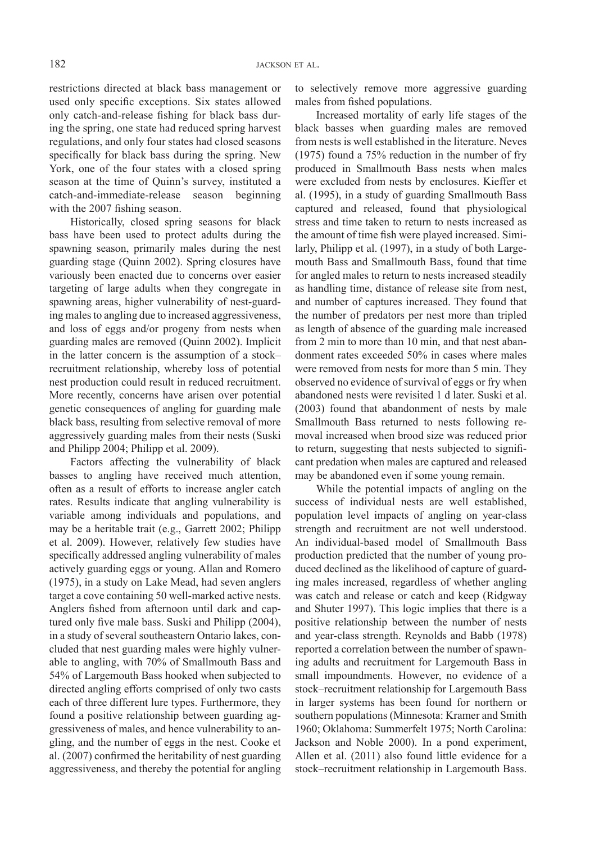restrictions directed at black bass management or used only specific exceptions. Six states allowed only catch-and-release fishing for black bass during the spring, one state had reduced spring harvest regulations, and only four states had closed seasons specifically for black bass during the spring. New York, one of the four states with a closed spring season at the time of Quinn's survey, instituted a catch-and-immediate-release season beginning with the 2007 fishing season.

Historically, closed spring seasons for black bass have been used to protect adults during the spawning season, primarily males during the nest guarding stage (Quinn 2002). Spring closures have variously been enacted due to concerns over easier targeting of large adults when they congregate in spawning areas, higher vulnerability of nest-guarding males to angling due to increased aggressiveness, and loss of eggs and/or progeny from nests when guarding males are removed (Quinn 2002). Implicit in the latter concern is the assumption of a stock– recruitment relationship, whereby loss of potential nest production could result in reduced recruitment. More recently, concerns have arisen over potential genetic consequences of angling for guarding male black bass, resulting from selective removal of more aggressively guarding males from their nests (Suski and Philipp 2004; Philipp et al. 2009).

Factors affecting the vulnerability of black basses to angling have received much attention, often as a result of efforts to increase angler catch rates. Results indicate that angling vulnerability is variable among individuals and populations, and may be a heritable trait (e.g., Garrett 2002; Philipp et al. 2009). However, relatively few studies have specifically addressed angling vulnerability of males actively guarding eggs or young. Allan and Romero (1975), in a study on Lake Mead, had seven anglers target a cove containing 50 well-marked active nests. Anglers fished from afternoon until dark and captured only five male bass. Suski and Philipp (2004), in a study of several southeastern Ontario lakes, concluded that nest guarding males were highly vulnerable to angling, with 70% of Smallmouth Bass and 54% of Largemouth Bass hooked when subjected to directed angling efforts comprised of only two casts each of three different lure types. Furthermore, they found a positive relationship between guarding aggressiveness of males, and hence vulnerability to angling, and the number of eggs in the nest. Cooke et al. (2007) confirmed the heritability of nest guarding aggressiveness, and thereby the potential for angling to selectively remove more aggressive guarding males from fished populations.

Increased mortality of early life stages of the black basses when guarding males are removed from nests is well established in the literature. Neves (1975) found a 75% reduction in the number of fry produced in Smallmouth Bass nests when males were excluded from nests by enclosures. Kieffer et al. (1995), in a study of guarding Smallmouth Bass captured and released, found that physiological stress and time taken to return to nests increased as the amount of time fish were played increased. Similarly, Philipp et al. (1997), in a study of both Largemouth Bass and Smallmouth Bass, found that time for angled males to return to nests increased steadily as handling time, distance of release site from nest, and number of captures increased. They found that the number of predators per nest more than tripled as length of absence of the guarding male increased from 2 min to more than 10 min, and that nest abandonment rates exceeded 50% in cases where males were removed from nests for more than 5 min. They observed no evidence of survival of eggs or fry when abandoned nests were revisited 1 d later. Suski et al. (2003) found that abandonment of nests by male Smallmouth Bass returned to nests following removal increased when brood size was reduced prior to return, suggesting that nests subjected to significant predation when males are captured and released may be abandoned even if some young remain.

While the potential impacts of angling on the success of individual nests are well established, population level impacts of angling on year-class strength and recruitment are not well understood. An individual-based model of Smallmouth Bass production predicted that the number of young produced declined as the likelihood of capture of guarding males increased, regardless of whether angling was catch and release or catch and keep (Ridgway and Shuter 1997). This logic implies that there is a positive relationship between the number of nests and year-class strength. Reynolds and Babb (1978) reported a correlation between the number of spawning adults and recruitment for Largemouth Bass in small impoundments. However, no evidence of a stock–recruitment relationship for Largemouth Bass in larger systems has been found for northern or southern populations (Minnesota: Kramer and Smith 1960; Oklahoma: Summerfelt 1975; North Carolina: Jackson and Noble 2000). In a pond experiment, Allen et al. (2011) also found little evidence for a stock–recruitment relationship in Largemouth Bass.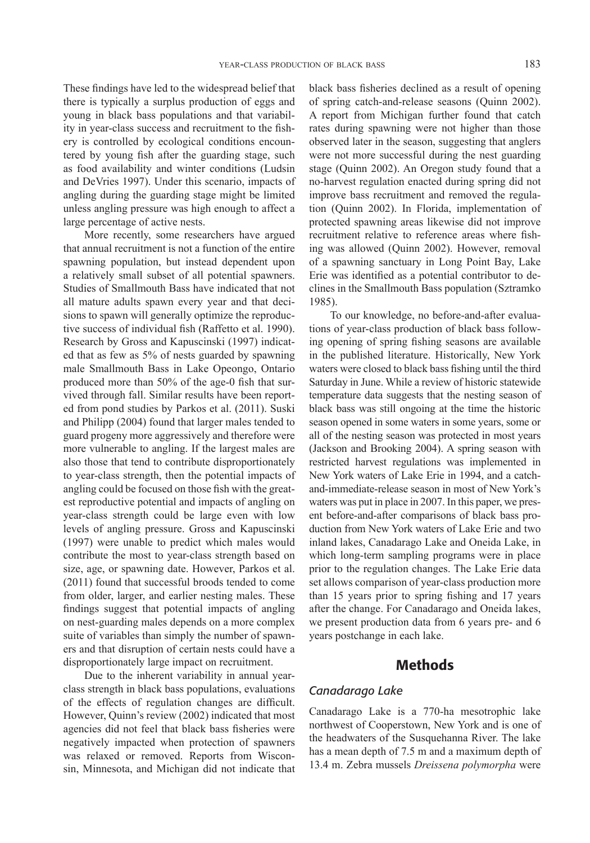These findings have led to the widespread belief that there is typically a surplus production of eggs and young in black bass populations and that variability in year-class success and recruitment to the fishery is controlled by ecological conditions encountered by young fish after the guarding stage, such as food availability and winter conditions (Ludsin and DeVries 1997). Under this scenario, impacts of angling during the guarding stage might be limited unless angling pressure was high enough to affect a large percentage of active nests.

More recently, some researchers have argued that annual recruitment is not a function of the entire spawning population, but instead dependent upon a relatively small subset of all potential spawners. Studies of Smallmouth Bass have indicated that not all mature adults spawn every year and that decisions to spawn will generally optimize the reproductive success of individual fish (Raffetto et al. 1990). Research by Gross and Kapuscinski (1997) indicated that as few as 5% of nests guarded by spawning male Smallmouth Bass in Lake Opeongo, Ontario produced more than 50% of the age-0 fish that survived through fall. Similar results have been reported from pond studies by Parkos et al. (2011). Suski and Philipp (2004) found that larger males tended to guard progeny more aggressively and therefore were more vulnerable to angling. If the largest males are also those that tend to contribute disproportionately to year-class strength, then the potential impacts of angling could be focused on those fish with the greatest reproductive potential and impacts of angling on year-class strength could be large even with low levels of angling pressure. Gross and Kapuscinski (1997) were unable to predict which males would contribute the most to year-class strength based on size, age, or spawning date. However, Parkos et al. (2011) found that successful broods tended to come from older, larger, and earlier nesting males. These findings suggest that potential impacts of angling on nest-guarding males depends on a more complex suite of variables than simply the number of spawners and that disruption of certain nests could have a disproportionately large impact on recruitment.

Due to the inherent variability in annual yearclass strength in black bass populations, evaluations of the effects of regulation changes are difficult. However, Quinn's review (2002) indicated that most agencies did not feel that black bass fisheries were negatively impacted when protection of spawners was relaxed or removed. Reports from Wisconsin, Minnesota, and Michigan did not indicate that

black bass fisheries declined as a result of opening of spring catch-and-release seasons (Quinn 2002). A report from Michigan further found that catch rates during spawning were not higher than those observed later in the season, suggesting that anglers were not more successful during the nest guarding stage (Quinn 2002). An Oregon study found that a no-harvest regulation enacted during spring did not improve bass recruitment and removed the regulation (Quinn 2002). In Florida, implementation of protected spawning areas likewise did not improve recruitment relative to reference areas where fishing was allowed (Quinn 2002). However, removal of a spawning sanctuary in Long Point Bay, Lake Erie was identified as a potential contributor to declines in the Smallmouth Bass population (Sztramko 1985).

To our knowledge, no before-and-after evaluations of year-class production of black bass following opening of spring fishing seasons are available in the published literature. Historically, New York waters were closed to black bass fishing until the third Saturday in June. While a review of historic statewide temperature data suggests that the nesting season of black bass was still ongoing at the time the historic season opened in some waters in some years, some or all of the nesting season was protected in most years (Jackson and Brooking 2004). A spring season with restricted harvest regulations was implemented in New York waters of Lake Erie in 1994, and a catchand-immediate-release season in most of New York's waters was put in place in 2007. In this paper, we present before-and-after comparisons of black bass production from New York waters of Lake Erie and two inland lakes, Canadarago Lake and Oneida Lake, in which long-term sampling programs were in place prior to the regulation changes. The Lake Erie data set allows comparison of year-class production more than 15 years prior to spring fishing and 17 years after the change. For Canadarago and Oneida lakes, we present production data from 6 years pre- and 6 years postchange in each lake.

# Methods

#### *Canadarago Lake*

Canadarago Lake is a 770-ha mesotrophic lake northwest of Cooperstown, New York and is one of the headwaters of the Susquehanna River. The lake has a mean depth of 7.5 m and a maximum depth of 13.4 m. Zebra mussels *Dreissena polymorpha* were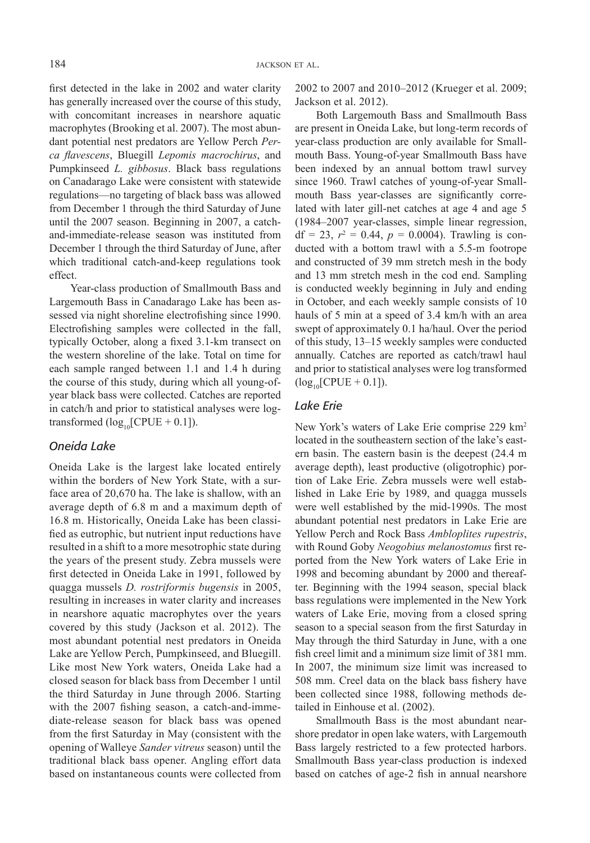first detected in the lake in 2002 and water clarity has generally increased over the course of this study, with concomitant increases in nearshore aquatic macrophytes (Brooking et al. 2007). The most abundant potential nest predators are Yellow Perch *Perca flavescens*, Bluegill *Lepomis macrochirus*, and Pumpkinseed *L. gibbosus*. Black bass regulations on Canadarago Lake were consistent with statewide regulations—no targeting of black bass was allowed from December 1 through the third Saturday of June until the 2007 season. Beginning in 2007, a catchand-immediate-release season was instituted from December 1 through the third Saturday of June, after which traditional catch-and-keep regulations took effect.

Year-class production of Smallmouth Bass and Largemouth Bass in Canadarago Lake has been assessed via night shoreline electrofishing since 1990. Electrofishing samples were collected in the fall, typically October, along a fixed 3.1-km transect on the western shoreline of the lake. Total on time for each sample ranged between 1.1 and 1.4 h during the course of this study, during which all young-ofyear black bass were collected. Catches are reported in catch/h and prior to statistical analyses were logtransformed  $(log_{10}[CPUE + 0.1])$ .

## *Oneida Lake*

Oneida Lake is the largest lake located entirely within the borders of New York State, with a surface area of 20,670 ha. The lake is shallow, with an average depth of 6.8 m and a maximum depth of 16.8 m. Historically, Oneida Lake has been classified as eutrophic, but nutrient input reductions have resulted in a shift to a more mesotrophic state during the years of the present study. Zebra mussels were first detected in Oneida Lake in 1991, followed by quagga mussels *D. rostriformis bugensis* in 2005, resulting in increases in water clarity and increases in nearshore aquatic macrophytes over the years covered by this study (Jackson et al. 2012). The most abundant potential nest predators in Oneida Lake are Yellow Perch, Pumpkinseed, and Bluegill. Like most New York waters, Oneida Lake had a closed season for black bass from December 1 until the third Saturday in June through 2006. Starting with the 2007 fishing season, a catch-and-immediate-release season for black bass was opened from the first Saturday in May (consistent with the opening of Walleye *Sander vitreus* season) until the traditional black bass opener. Angling effort data based on instantaneous counts were collected from 2002 to 2007 and 2010–2012 (Krueger et al. 2009; Jackson et al. 2012).

Both Largemouth Bass and Smallmouth Bass are present in Oneida Lake, but long-term records of year-class production are only available for Smallmouth Bass. Young-of-year Smallmouth Bass have been indexed by an annual bottom trawl survey since 1960. Trawl catches of young-of-year Smallmouth Bass year-classes are significantly correlated with later gill-net catches at age 4 and age 5 (1984–2007 year-classes, simple linear regression,  $df = 23$ ,  $r^2 = 0.44$ ,  $p = 0.0004$ ). Trawling is conducted with a bottom trawl with a 5.5-m footrope and constructed of 39 mm stretch mesh in the body and 13 mm stretch mesh in the cod end. Sampling is conducted weekly beginning in July and ending in October, and each weekly sample consists of 10 hauls of 5 min at a speed of 3.4 km/h with an area swept of approximately 0.1 ha/haul. Over the period of this study, 13–15 weekly samples were conducted annually. Catches are reported as catch/trawl haul and prior to statistical analyses were log transformed  $(log_{10}[CPUE + 0.1]).$ 

#### *Lake Erie*

New York's waters of Lake Erie comprise 229 km2 located in the southeastern section of the lake's eastern basin. The eastern basin is the deepest (24.4 m average depth), least productive (oligotrophic) portion of Lake Erie. Zebra mussels were well established in Lake Erie by 1989, and quagga mussels were well established by the mid-1990s. The most abundant potential nest predators in Lake Erie are Yellow Perch and Rock Bass *Ambloplites rupestris*, with Round Goby *Neogobius melanostomus* first reported from the New York waters of Lake Erie in 1998 and becoming abundant by 2000 and thereafter. Beginning with the 1994 season, special black bass regulations were implemented in the New York waters of Lake Erie, moving from a closed spring season to a special season from the first Saturday in May through the third Saturday in June, with a one fish creel limit and a minimum size limit of 381 mm. In 2007, the minimum size limit was increased to 508 mm. Creel data on the black bass fishery have been collected since 1988, following methods detailed in Einhouse et al. (2002).

Smallmouth Bass is the most abundant nearshore predator in open lake waters, with Largemouth Bass largely restricted to a few protected harbors. Smallmouth Bass year-class production is indexed based on catches of age-2 fish in annual nearshore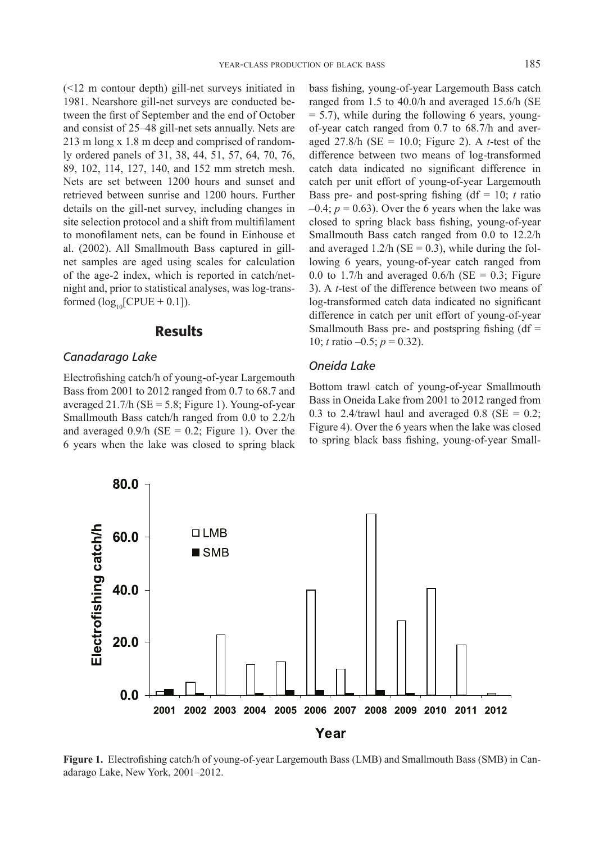(<12 m contour depth) gill-net surveys initiated in 1981. Nearshore gill-net surveys are conducted between the first of September and the end of October and consist of 25–48 gill-net sets annually. Nets are 213 m long x 1.8 m deep and comprised of randomly ordered panels of 31, 38, 44, 51, 57, 64, 70, 76, 89, 102, 114, 127, 140, and 152 mm stretch mesh. Nets are set between 1200 hours and sunset and retrieved between sunrise and 1200 hours. Further details on the gill-net survey, including changes in site selection protocol and a shift from multifilament to monofilament nets, can be found in Einhouse et al. (2002). All Smallmouth Bass captured in gillnet samples are aged using scales for calculation of the age-2 index, which is reported in catch/netnight and, prior to statistical analyses, was log-transformed  $(log_{10}[CPUE + 0.1]).$ 

#### Results

#### *Canadarago Lake*

Electrofishing catch/h of young-of-year Largemouth Bass from 2001 to 2012 ranged from 0.7 to 68.7 and averaged  $21.7/h$  (SE = 5.8; Figure 1). Young-of-year Smallmouth Bass catch/h ranged from 0.0 to 2.2/h and averaged  $0.9/h$  (SE = 0.2; Figure 1). Over the 6 years when the lake was closed to spring black bass fishing, young-of-year Largemouth Bass catch ranged from 1.5 to 40.0/h and averaged 15.6/h (SE  $= 5.7$ ), while during the following 6 years, youngof-year catch ranged from 0.7 to 68.7/h and averaged 27.8/h (SE = 10.0; Figure 2). A *t*-test of the difference between two means of log-transformed catch data indicated no significant difference in catch per unit effort of young-of-year Largemouth Bass pre- and post-spring fishing  $(df = 10; t$  ratio  $-0.4$ ;  $p = 0.63$ ). Over the 6 years when the lake was closed to spring black bass fishing, young-of-year Smallmouth Bass catch ranged from 0.0 to 12.2/h and averaged  $1.2/h$  (SE = 0.3), while during the following 6 years, young-of-year catch ranged from 0.0 to 1.7/h and averaged 0.6/h ( $SE = 0.3$ ; Figure 3). A *t*-test of the difference between two means of log-transformed catch data indicated no significant difference in catch per unit effort of young-of-year Smallmouth Bass pre- and postspring fishing  $(df =$ 10; *t* ratio –0.5; *p* = 0.32).

#### *Oneida Lake*

Bottom trawl catch of young-of-year Smallmouth Bass in Oneida Lake from 2001 to 2012 ranged from 0.3 to 2.4/trawl haul and averaged 0.8 ( $SE = 0.2$ ; Figure 4). Over the 6 years when the lake was closed to spring black bass fishing, young-of-year Small-



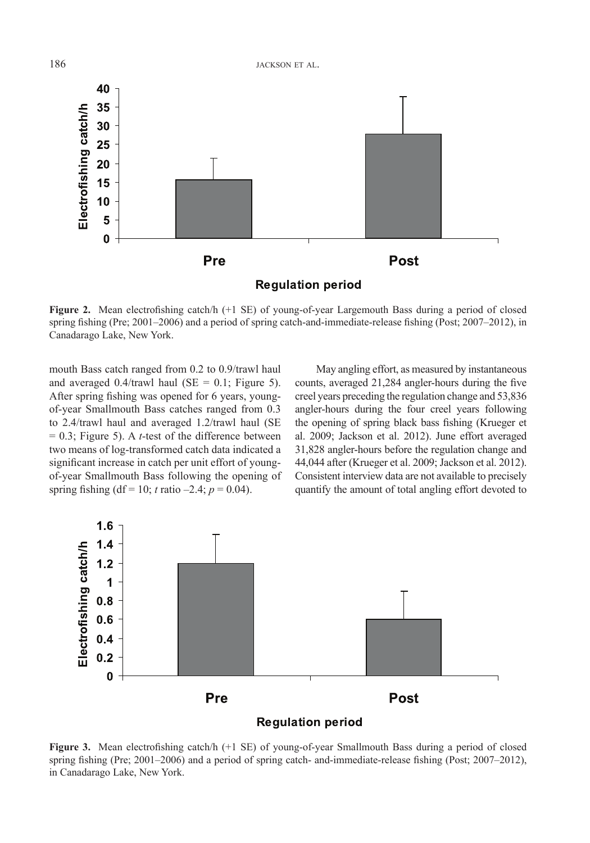

**Figure 2.** Mean electrofishing catch/h (+1 SE) of young-of-year Largemouth Bass during a period of closed spring fishing (Pre; 2001–2006) and a period of spring catch-and-immediate-release fishing (Post; 2007–2012), in Canadarago Lake, New York.

mouth Bass catch ranged from 0.2 to 0.9/trawl haul and averaged  $0.4$ /trawl haul (SE = 0.1; Figure 5). After spring fishing was opened for 6 years, youngof-year Smallmouth Bass catches ranged from 0.3 to 2.4/trawl haul and averaged 1.2/trawl haul (SE  $= 0.3$ ; Figure 5). A *t*-test of the difference between two means of log-transformed catch data indicated a significant increase in catch per unit effort of youngof-year Smallmouth Bass following the opening of spring fishing (df = 10; *t* ratio -2.4;  $p = 0.04$ ).

May angling effort, as measured by instantaneous counts, averaged 21,284 angler-hours during the five creel years preceding the regulation change and 53,836 angler-hours during the four creel years following the opening of spring black bass fishing (Krueger et al. 2009; Jackson et al. 2012). June effort averaged 31,828 angler-hours before the regulation change and 44,044 after (Krueger et al. 2009; Jackson et al. 2012). Consistent interview data are not available to precisely quantify the amount of total angling effort devoted to



**Figure 3.** Mean electrofishing catch/h (+1 SE) of young-of-year Smallmouth Bass during a period of closed spring fishing (Pre; 2001–2006) and a period of spring catch- and-immediate-release fishing (Post; 2007–2012), in Canadarago Lake, New York.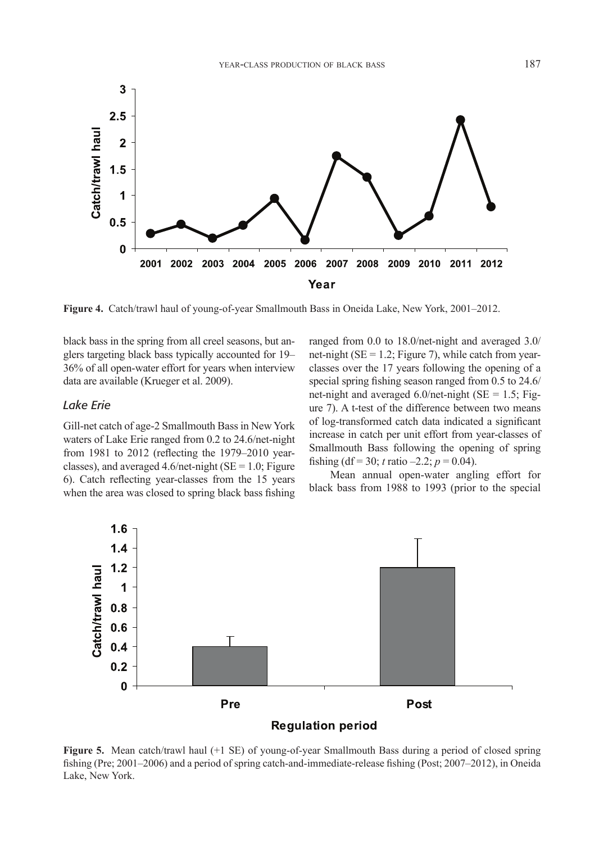

**Figure 4.** Catch/trawl haul of young-of-year Smallmouth Bass in Oneida Lake, New York, 2001–2012.

black bass in the spring from all creel seasons, but anglers targeting black bass typically accounted for 19– 36% of all open-water effort for years when interview data are available (Krueger et al. 2009).

#### *Lake Erie*

Gill-net catch of age-2 Smallmouth Bass in New York waters of Lake Erie ranged from 0.2 to 24.6/net-night from 1981 to 2012 (reflecting the 1979–2010 yearclasses), and averaged  $4.6/net\text{-night}$  (SE = 1.0; Figure 6). Catch reflecting year-classes from the 15 years when the area was closed to spring black bass fishing ranged from 0.0 to 18.0/net-night and averaged 3.0/ net-night ( $SE = 1.2$ ; Figure 7), while catch from yearclasses over the 17 years following the opening of a special spring fishing season ranged from 0.5 to 24.6/ net-night and averaged  $6.0$ /net-night (SE = 1.5; Figure 7). A t-test of the difference between two means of log-transformed catch data indicated a significant increase in catch per unit effort from year-classes of Smallmouth Bass following the opening of spring fishing (df = 30; *t* ratio –2.2;  $p = 0.04$ ).

Mean annual open-water angling effort for black bass from 1988 to 1993 (prior to the special



**Figure 5.** Mean catch/trawl haul (+1 SE) of young-of-year Smallmouth Bass during a period of closed spring fishing (Pre; 2001–2006) and a period of spring catch-and-immediate-release fishing (Post; 2007–2012), in Oneida Lake, New York.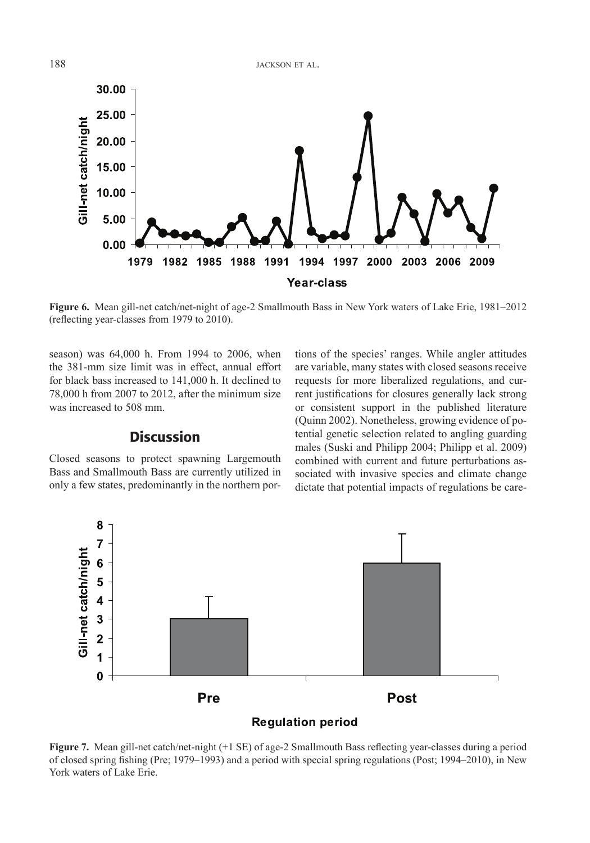

**Figure 6.** Mean gill-net catch/net-night of age-2 Smallmouth Bass in New York waters of Lake Erie, 1981–2012 (reflecting year-classes from 1979 to 2010).

season) was 64,000 h. From 1994 to 2006, when the 381-mm size limit was in effect, annual effort for black bass increased to 141,000 h. It declined to 78,000 h from 2007 to 2012, after the minimum size was increased to 508 mm.

# **Discussion**

Closed seasons to protect spawning Largemouth Bass and Smallmouth Bass are currently utilized in only a few states, predominantly in the northern portions of the species' ranges. While angler attitudes are variable, many states with closed seasons receive requests for more liberalized regulations, and current justifications for closures generally lack strong or consistent support in the published literature (Quinn 2002). Nonetheless, growing evidence of potential genetic selection related to angling guarding males (Suski and Philipp 2004; Philipp et al. 2009) combined with current and future perturbations associated with invasive species and climate change dictate that potential impacts of regulations be care-



**Figure 7.** Mean gill-net catch/net-night (+1 SE) of age-2 Smallmouth Bass reflecting year-classes during a period of closed spring fishing (Pre; 1979–1993) and a period with special spring regulations (Post; 1994–2010), in New York waters of Lake Erie.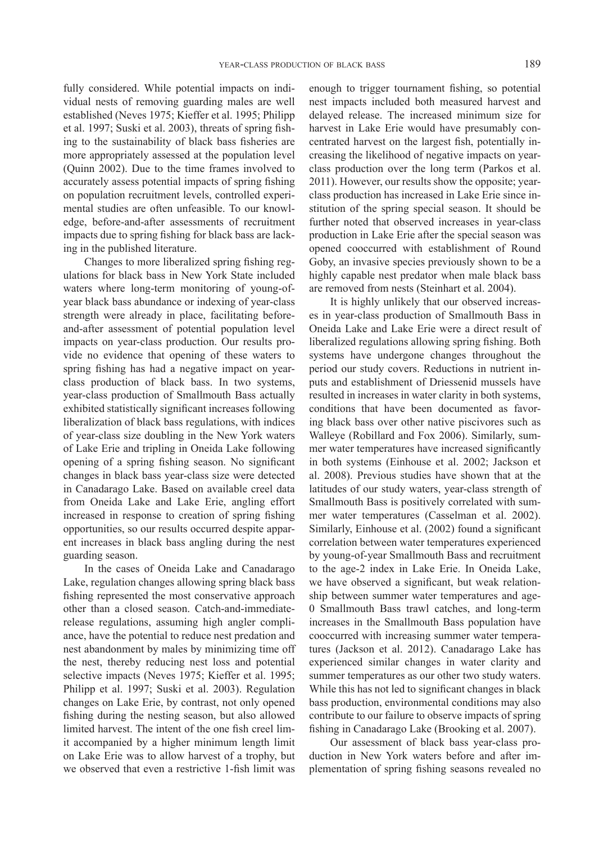fully considered. While potential impacts on individual nests of removing guarding males are well established (Neves 1975; Kieffer et al. 1995; Philipp et al. 1997; Suski et al. 2003), threats of spring fishing to the sustainability of black bass fisheries are more appropriately assessed at the population level (Quinn 2002). Due to the time frames involved to accurately assess potential impacts of spring fishing on population recruitment levels, controlled experimental studies are often unfeasible. To our knowledge, before-and-after assessments of recruitment impacts due to spring fishing for black bass are lacking in the published literature.

Changes to more liberalized spring fishing regulations for black bass in New York State included waters where long-term monitoring of young-ofyear black bass abundance or indexing of year-class strength were already in place, facilitating beforeand-after assessment of potential population level impacts on year-class production. Our results provide no evidence that opening of these waters to spring fishing has had a negative impact on yearclass production of black bass. In two systems, year-class production of Smallmouth Bass actually exhibited statistically significant increases following liberalization of black bass regulations, with indices of year-class size doubling in the New York waters of Lake Erie and tripling in Oneida Lake following opening of a spring fishing season. No significant changes in black bass year-class size were detected in Canadarago Lake. Based on available creel data from Oneida Lake and Lake Erie, angling effort increased in response to creation of spring fishing opportunities, so our results occurred despite apparent increases in black bass angling during the nest guarding season.

In the cases of Oneida Lake and Canadarago Lake, regulation changes allowing spring black bass fishing represented the most conservative approach other than a closed season. Catch-and-immediaterelease regulations, assuming high angler compliance, have the potential to reduce nest predation and nest abandonment by males by minimizing time off the nest, thereby reducing nest loss and potential selective impacts (Neves 1975; Kieffer et al. 1995; Philipp et al. 1997; Suski et al. 2003). Regulation changes on Lake Erie, by contrast, not only opened fishing during the nesting season, but also allowed limited harvest. The intent of the one fish creel limit accompanied by a higher minimum length limit on Lake Erie was to allow harvest of a trophy, but we observed that even a restrictive 1-fish limit was

enough to trigger tournament fishing, so potential nest impacts included both measured harvest and delayed release. The increased minimum size for harvest in Lake Erie would have presumably concentrated harvest on the largest fish, potentially increasing the likelihood of negative impacts on yearclass production over the long term (Parkos et al. 2011). However, our results show the opposite; yearclass production has increased in Lake Erie since institution of the spring special season. It should be further noted that observed increases in year-class production in Lake Erie after the special season was opened cooccurred with establishment of Round Goby, an invasive species previously shown to be a highly capable nest predator when male black bass are removed from nests (Steinhart et al. 2004).

It is highly unlikely that our observed increases in year-class production of Smallmouth Bass in Oneida Lake and Lake Erie were a direct result of liberalized regulations allowing spring fishing. Both systems have undergone changes throughout the period our study covers. Reductions in nutrient inputs and establishment of Driessenid mussels have resulted in increases in water clarity in both systems, conditions that have been documented as favoring black bass over other native piscivores such as Walleye (Robillard and Fox 2006). Similarly, summer water temperatures have increased significantly in both systems (Einhouse et al. 2002; Jackson et al. 2008). Previous studies have shown that at the latitudes of our study waters, year-class strength of Smallmouth Bass is positively correlated with summer water temperatures (Casselman et al. 2002). Similarly, Einhouse et al. (2002) found a significant correlation between water temperatures experienced by young-of-year Smallmouth Bass and recruitment to the age-2 index in Lake Erie. In Oneida Lake, we have observed a significant, but weak relationship between summer water temperatures and age-0 Smallmouth Bass trawl catches, and long-term increases in the Smallmouth Bass population have cooccurred with increasing summer water temperatures (Jackson et al. 2012). Canadarago Lake has experienced similar changes in water clarity and summer temperatures as our other two study waters. While this has not led to significant changes in black bass production, environmental conditions may also contribute to our failure to observe impacts of spring fishing in Canadarago Lake (Brooking et al. 2007).

Our assessment of black bass year-class production in New York waters before and after implementation of spring fishing seasons revealed no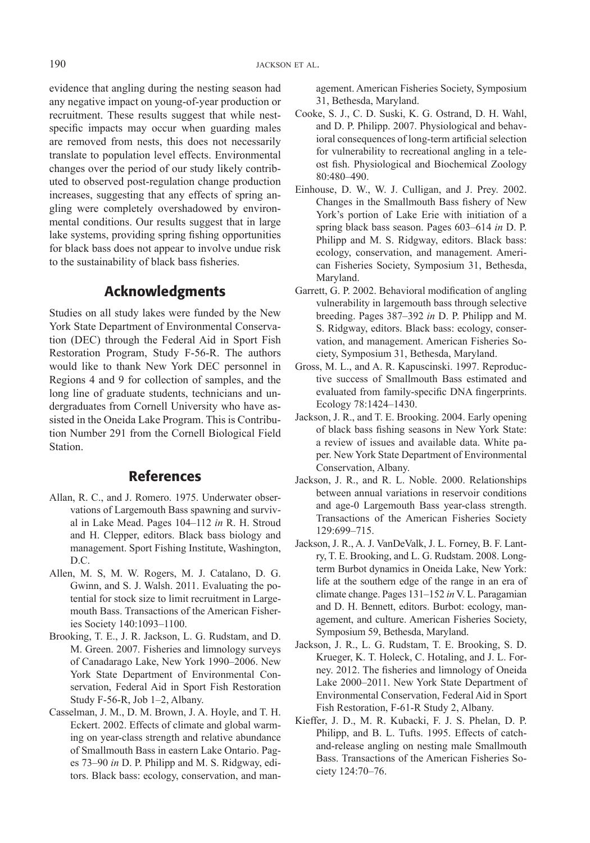evidence that angling during the nesting season had any negative impact on young-of-year production or recruitment. These results suggest that while nestspecific impacts may occur when guarding males are removed from nests, this does not necessarily translate to population level effects. Environmental changes over the period of our study likely contributed to observed post-regulation change production increases, suggesting that any effects of spring angling were completely overshadowed by environmental conditions. Our results suggest that in large lake systems, providing spring fishing opportunities for black bass does not appear to involve undue risk to the sustainability of black bass fisheries.

# Acknowledgments

Studies on all study lakes were funded by the New York State Department of Environmental Conservation (DEC) through the Federal Aid in Sport Fish Restoration Program, Study F-56-R. The authors would like to thank New York DEC personnel in Regions 4 and 9 for collection of samples, and the long line of graduate students, technicians and undergraduates from Cornell University who have assisted in the Oneida Lake Program. This is Contribution Number 291 from the Cornell Biological Field **Station** 

### References

- Allan, R. C., and J. Romero. 1975. Underwater observations of Largemouth Bass spawning and survival in Lake Mead. Pages 104–112 *in* R. H. Stroud and H. Clepper, editors. Black bass biology and management. Sport Fishing Institute, Washington,  $DC$
- Allen, M. S, M. W. Rogers, M. J. Catalano, D. G. Gwinn, and S. J. Walsh. 2011. Evaluating the potential for stock size to limit recruitment in Largemouth Bass. Transactions of the American Fisheries Society 140:1093–1100.
- Brooking, T. E., J. R. Jackson, L. G. Rudstam, and D. M. Green. 2007. Fisheries and limnology surveys of Canadarago Lake, New York 1990–2006. New York State Department of Environmental Conservation, Federal Aid in Sport Fish Restoration Study F-56-R, Job 1–2, Albany.
- Casselman, J. M., D. M. Brown, J. A. Hoyle, and T. H. Eckert. 2002. Effects of climate and global warming on year-class strength and relative abundance of Smallmouth Bass in eastern Lake Ontario. Pages 73–90 *in* D. P. Philipp and M. S. Ridgway, editors. Black bass: ecology, conservation, and man-

agement. American Fisheries Society, Symposium 31, Bethesda, Maryland.

- Cooke, S. J., C. D. Suski, K. G. Ostrand, D. H. Wahl, and D. P. Philipp. 2007. Physiological and behavioral consequences of long-term artificial selection for vulnerability to recreational angling in a teleost fish. Physiological and Biochemical Zoology 80:480–490.
- Einhouse, D. W., W. J. Culligan, and J. Prey. 2002. Changes in the Smallmouth Bass fishery of New York's portion of Lake Erie with initiation of a spring black bass season. Pages 603–614 *in* D. P. Philipp and M. S. Ridgway, editors. Black bass: ecology, conservation, and management. American Fisheries Society, Symposium 31, Bethesda, Maryland.
- Garrett, G. P. 2002. Behavioral modification of angling vulnerability in largemouth bass through selective breeding. Pages 387–392 *in* D. P. Philipp and M. S. Ridgway, editors. Black bass: ecology, conservation, and management. American Fisheries Society, Symposium 31, Bethesda, Maryland.
- Gross, M. L., and A. R. Kapuscinski. 1997. Reproductive success of Smallmouth Bass estimated and evaluated from family-specific DNA fingerprints. Ecology 78:1424–1430.
- Jackson, J. R., and T. E. Brooking. 2004. Early opening of black bass fishing seasons in New York State: a review of issues and available data. White paper. New York State Department of Environmental Conservation, Albany.
- Jackson, J. R., and R. L. Noble. 2000. Relationships between annual variations in reservoir conditions and age-0 Largemouth Bass year-class strength. Transactions of the American Fisheries Society 129:699–715.
- Jackson, J. R., A. J. VanDeValk, J. L. Forney, B. F. Lantry, T. E. Brooking, and L. G. Rudstam. 2008. Longterm Burbot dynamics in Oneida Lake, New York: life at the southern edge of the range in an era of climate change. Pages 131–152 *in* V. L. Paragamian and D. H. Bennett, editors. Burbot: ecology, management, and culture. American Fisheries Society, Symposium 59, Bethesda, Maryland.
- Jackson, J. R., L. G. Rudstam, T. E. Brooking, S. D. Krueger, K. T. Holeck, C. Hotaling, and J. L. Forney. 2012. The fisheries and limnology of Oneida Lake 2000–2011. New York State Department of Environmental Conservation, Federal Aid in Sport Fish Restoration, F-61-R Study 2, Albany.
- Kieffer, J. D., M. R. Kubacki, F. J. S. Phelan, D. P. Philipp, and B. L. Tufts. 1995. Effects of catchand-release angling on nesting male Smallmouth Bass. Transactions of the American Fisheries Society 124:70–76.